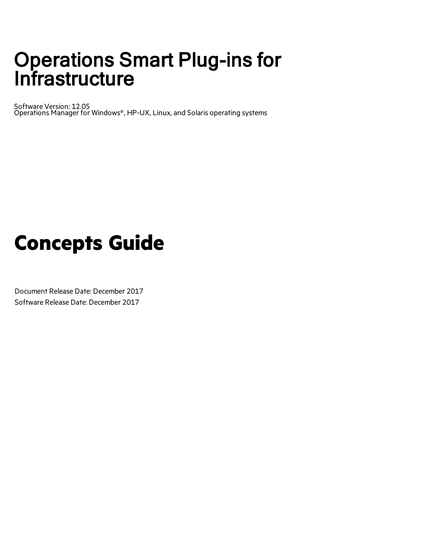# Operations Smart Plug-ins for **Infrastructure**

Software Version: 12.05 Operations Manager for Windows®, HP-UX, Linux, and Solaris operating systems

# **Concepts Guide**

Document Release Date: December 2017 Software Release Date: December 2017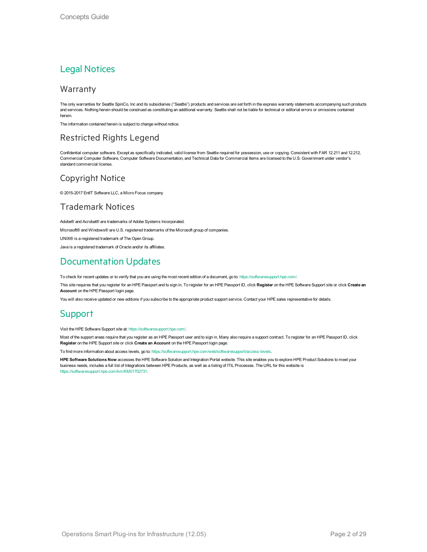### Legal Notices

### Warranty

The only warranties for Seattle SpinCo, Inc and its subsidiaries ("Seattle") products and services are set forth in the express warranty statements accompanying such products and services. Nothing herein should be construed as constituting an additional warranty. Seattle shall not be liable for technical or editorial errors or omissions contained herein.

The information contained herein is subject to change without notice.

### Restricted Rights Legend

Confidential computer software. Except as specifically indicated, valid license from Seattle required for possession, use or copying. Consistent with FAR 12.211 and 12.212, Commercial Computer Software, Computer Software Documentation, and Technical Data for Commercial Items are licensed to the U.S. Government under vendor's standard commercial license.

### Copyright Notice

© 2015-2017 EntIT Software LLC, a Micro Focus company

### Trademark Notices

Adobe® and Acrobat® are trademarks of Adobe Systems Incorporated. Microsoft® and Windows® are U.S. registered trademarks of the Microsoft group of companies. UNIX® is a registered trademark of The Open Group. Java is a registered trademark of Oracle and/or its affiliates.

### Documentation Updates

To check for recent updates or to verify that you are using the most recent edition of a document, go to: <https://softwaresupport.hpe.com/>.

This site requires that you register for an HPE Passport and to sign in. To register for an HPE Passport ID, click **Register** on the HPE Software Support site or click **Create an Account** on the HPE Passport login page.

You will also receive updated or new editions if you subscribe to the appropriate product support service. Contact your HPE sales representative for details.

### Support

Visit the HPE Software Support site at: <https://softwaresupport.hpe.com/>.

Most of the support areas require that you register as an HPE Passport user and to sign in. Many also require a support contract. To register for an HPE Passport ID, click **Register** on the HPE Support site or click **Create an Account** on the HPE Passport login page.

To find more information about access levels, go to: <https://softwaresupport.hpe.com/web/softwaresupport/access-levels>.

**HPE Software Solutions Now** accesses the HPE Software Solution and Integration Portal website. This site enables you to explore HPE Product Solutions to meet your business needs, includes a full list of Integrations between HPE Products, as well as a listing of ITIL Processes. The URL for this website is [https://softwaresupport.hpe.com/km/KM01702731.](https://softwaresupport.hpe.com/km/KM01702731)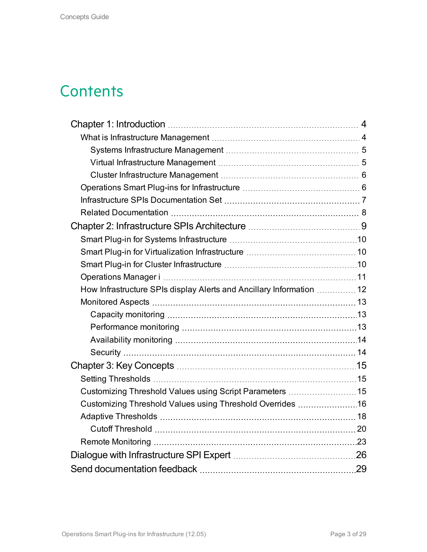## **Contents**

| How Infrastructure SPIs display Alerts and Ancillary Information  12 |  |
|----------------------------------------------------------------------|--|
|                                                                      |  |
|                                                                      |  |
|                                                                      |  |
|                                                                      |  |
|                                                                      |  |
|                                                                      |  |
|                                                                      |  |
| Customizing Threshold Values using Script Parameters  15             |  |
| Customizing Threshold Values using Threshold Overrides 16            |  |
|                                                                      |  |
|                                                                      |  |
|                                                                      |  |
|                                                                      |  |
|                                                                      |  |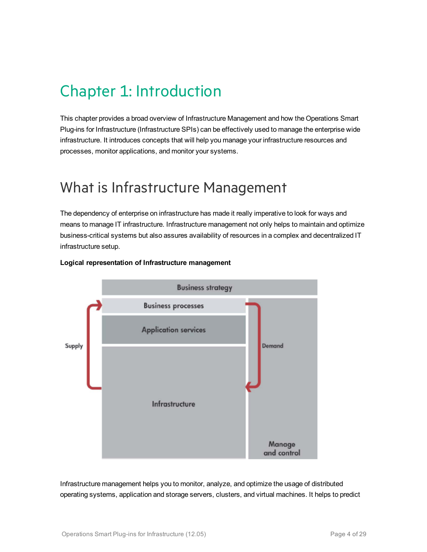# <span id="page-3-0"></span>Chapter 1: Introduction

This chapter provides a broad overview of Infrastructure Management and how the Operations Smart Plug-ins for Infrastructure (Infrastructure SPIs) can be effectively used to manage the enterprise wide infrastructure. It introduces concepts that will help you manage your infrastructure resources and processes, monitor applications, and monitor your systems.

## <span id="page-3-1"></span>What is Infrastructure Management

The dependency of enterprise on infrastructure has made it really imperative to look for ways and means to manage IT infrastructure. Infrastructure management not only helps to maintain and optimize business-critical systems but also assures availability of resources in a complex and decentralized IT infrastructure setup.



### **Logical representation of Infrastructure management**

Infrastructure management helps you to monitor, analyze, and optimize the usage of distributed operating systems, application and storage servers, clusters, and virtual machines. It helps to predict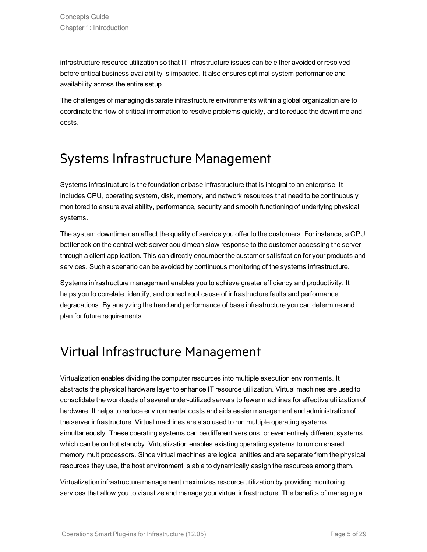infrastructure resource utilization so that IT infrastructure issues can be either avoided or resolved before critical business availability is impacted. It also ensures optimal system performance and availability across the entire setup.

The challenges of managing disparate infrastructure environments within a global organization are to coordinate the flow of critical information to resolve problems quickly, and to reduce the downtime and costs.

### <span id="page-4-0"></span>Systems Infrastructure Management

Systems infrastructure is the foundation or base infrastructure that is integral to an enterprise. It includes CPU, operating system, disk, memory, and network resources that need to be continuously monitored to ensure availability, performance, security and smooth functioning of underlying physical systems.

The system downtime can affect the quality of service you offer to the customers. For instance, a CPU bottleneck on the central web server could mean slow response to the customer accessing the server through a client application. This can directly encumber the customer satisfaction for your products and services. Such a scenario can be avoided by continuous monitoring of the systems infrastructure.

Systems infrastructure management enables you to achieve greater efficiency and productivity. It helps you to correlate, identify, and correct root cause of infrastructure faults and performance degradations. By analyzing the trend and performance of base infrastructure you can determine and plan for future requirements.

### <span id="page-4-1"></span>Virtual Infrastructure Management

Virtualization enables dividing the computer resources into multiple execution environments. It abstracts the physical hardware layer to enhance IT resource utilization. Virtual machines are used to consolidate the workloads of several under-utilized servers to fewer machines for effective utilization of hardware. It helps to reduce environmental costs and aids easier management and administration of the server infrastructure. Virtual machines are also used to run multiple operating systems simultaneously. These operating systems can be different versions, or even entirely different systems, which can be on hot standby. Virtualization enables existing operating systems to run on shared memory multiprocessors. Since virtual machines are logical entities and are separate from the physical resources they use, the host environment is able to dynamically assign the resources among them.

Virtualization infrastructure management maximizes resource utilization by providing monitoring services that allow you to visualize and manage your virtual infrastructure. The benefits of managing a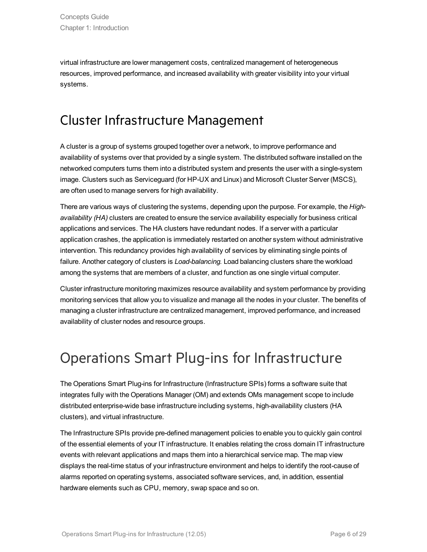virtual infrastructure are lower management costs, centralized management of heterogeneous resources, improved performance, and increased availability with greater visibility into your virtual systems.

### <span id="page-5-0"></span>Cluster Infrastructure Management

A cluster is a group of systems grouped together over a network, to improve performance and availability of systems over that provided by a single system. The distributed software installed on the networked computers turns them into a distributed system and presents the user with a single-system image. Clusters such as Serviceguard (for HP-UX and Linux) and Microsoft Cluster Server (MSCS), are often used to manage servers for high availability.

There are various ways of clustering the systems, depending upon the purpose. For example, the *Highavailability (HA)* clusters are created to ensure the service availability especially for business critical applications and services. The HA clusters have redundant nodes. If a server with a particular application crashes, the application is immediately restarted on another system without administrative intervention. This redundancy provides high availability of services by eliminating single points of failure. Another category of clusters is *Load-balancing.* Load balancing clusters share the workload among the systems that are members of a cluster, and function as one single virtual computer.

Cluster infrastructure monitoring maximizes resource availability and system performance by providing monitoring services that allow you to visualize and manage all the nodes in your cluster. The benefits of managing a cluster infrastructure are centralized management, improved performance, and increased availability of cluster nodes and resource groups.

## <span id="page-5-1"></span>Operations Smart Plug-ins for Infrastructure

The Operations Smart Plug-ins for Infrastructure (Infrastructure SPIs) forms a software suite that integrates fully with the Operations Manager (OM) and extends OMs management scope to include distributed enterprise-wide base infrastructure including systems, high-availability clusters (HA clusters), and virtual infrastructure.

The Infrastructure SPIs provide pre-defined management policies to enable you to quickly gain control of the essential elements of your IT infrastructure. It enables relating the cross domain IT infrastructure events with relevant applications and maps them into a hierarchical service map. The map view displays the real-time status of your infrastructure environment and helps to identify the root-cause of alarms reported on operating systems, associated software services, and, in addition, essential hardware elements such as CPU, memory, swap space and so on.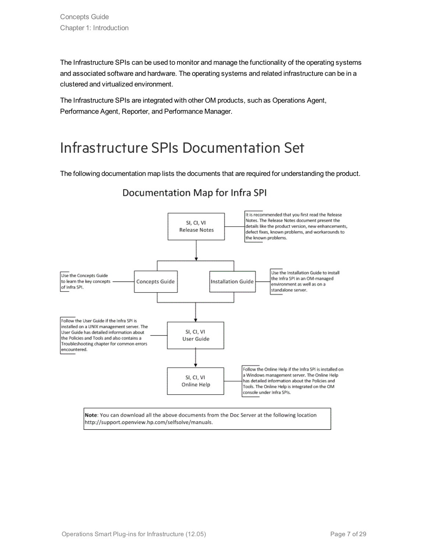The Infrastructure SPIs can be used to monitor and manage the functionality of the operating systems and associated software and hardware. The operating systems and related infrastructure can be in a clustered and virtualized environment.

The Infrastructure SPIs are integrated with other OM products, such as Operations Agent, Performance Agent, Reporter, and Performance Manager.

## <span id="page-6-0"></span>Infrastructure SPIs Documentation Set

The following documentation map lists the documents that are required for understanding the product.

#### It is recommended that you first read the Release Notes. The Release Notes document present the SI, CI, VI details like the product version, new enhancements, Release Notes defect fixes, known problems, and workarounds to the known problems. Use the Installation Guide to install Use the Concepts Guide the Infra SPI in an OM-managed to learn the key concepts **Concepts Guide Installation Guide** environment as well as on a of Infra SPI. standalone server. Follow the User Guide if the Infra SPI is installed on a UNIX management server. The SI. CI. VI User Guide has detailed information about the Policies and Tools and also contains a User Guide Troubleshooting chapter for common errors encountered. Follow the Online Help if the Infra SPI is installed on a Windows management server. The Online Help SI, CI, VI has detailed information about the Policies and Online Help Tools. The Online Help is integrated on the OM console under Infra SPIs. Note: You can download all the above documents from the Doc Server at the following location http://support.openview.hp.com/selfsolve/manuals.

### Documentation Map for Infra SPI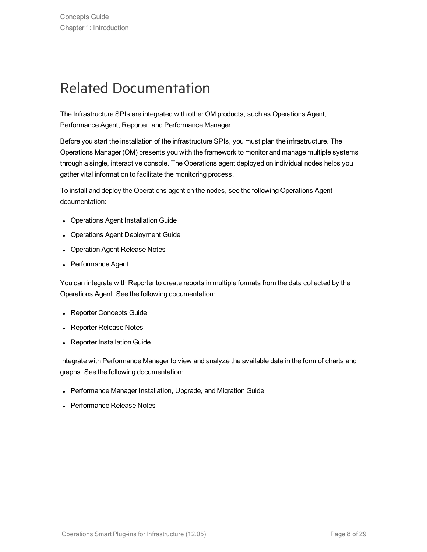## <span id="page-7-0"></span>Related Documentation

The Infrastructure SPIs are integrated with other OM products, such as Operations Agent, Performance Agent, Reporter, and Performance Manager.

Before you start the installation of the infrastructure SPIs, you must plan the infrastructure. The Operations Manager (OM) presents you with the framework to monitor and manage multiple systems through a single, interactive console. The Operations agent deployed on individual nodes helps you gather vital information to facilitate the monitoring process.

To install and deploy the Operations agent on the nodes, see the following Operations Agent documentation:

- Operations Agent Installation Guide
- Operations Agent Deployment Guide
- Operation Agent Release Notes
- Performance Agent

You can integrate with Reporter to create reports in multiple formats from the data collected by the Operations Agent. See the following documentation:

- Reporter Concepts Guide
- Reporter Release Notes
- Reporter Installation Guide

Integrate with Performance Manager to view and analyze the available data in the form of charts and graphs. See the following documentation:

- Performance Manager Installation, Upgrade, and Migration Guide
- Performance Release Notes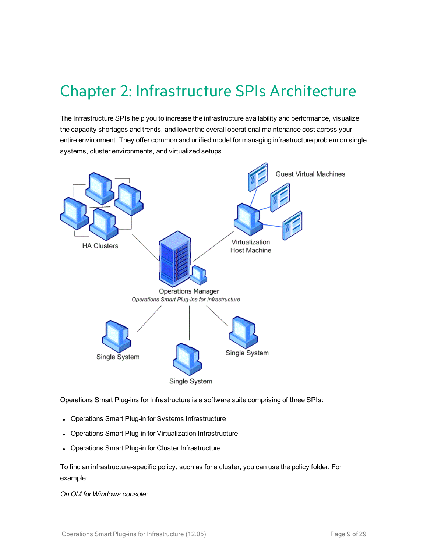## <span id="page-8-0"></span>Chapter 2: Infrastructure SPIs Architecture

The Infrastructure SPIs help you to increase the infrastructure availability and performance, visualize the capacity shortages and trends, and lower the overall operational maintenance cost across your entire environment. They offer common and unified model for managing infrastructure problem on single systems, cluster environments, and virtualized setups.



Operations Smart Plug-ins for Infrastructure is a software suite comprising of three SPIs:

- Operations Smart Plug-in for Systems Infrastructure
- Operations Smart Plug-in for Virtualization Infrastructure
- Operations Smart Plug-in for Cluster Infrastructure

To find an infrastructure-specific policy, such as for a cluster, you can use the policy folder. For example:

*On OM for Windows console:*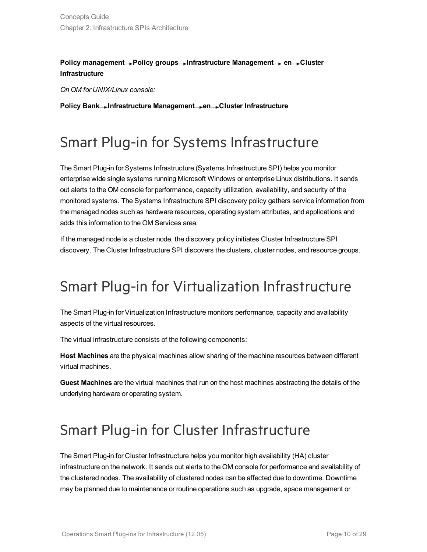### **Policy management Policy groups Infrastructure Management en Cluster Infrastructure**

*On OM for UNIX/Linux console:*

<span id="page-9-0"></span>**Policy Bank Infrastructure Management en Cluster Infrastructure**

## Smart Plug-in for Systems Infrastructure

The Smart Plug-in for Systems Infrastructure (Systems Infrastructure SPI) helps you monitor enterprise wide single systems running Microsoft Windows or enterprise Linux distributions. It sends out alerts to the OM console for performance, capacity utilization, availability, and security of the monitored systems. The Systems Infrastructure SPI discovery policy gathers service information from the managed nodes such as hardware resources, operating system attributes, and applications and adds this information to the OM Services area.

If the managed node is a cluster node, the discovery policy initiates Cluster Infrastructure SPI discovery. The Cluster Infrastructure SPI discovers the clusters, cluster nodes, and resource groups.

## <span id="page-9-1"></span>Smart Plug-in for Virtualization Infrastructure

The Smart Plug-in for Virtualization Infrastructure monitors performance, capacity and availability aspects of the virtual resources.

The virtual infrastructure consists of the following components:

**Host Machines** are the physical machines allow sharing of the machine resources between different virtual machines.

**Guest Machines** are the virtual machines that run on the host machines abstracting the details of the underlying hardware or operating system.

## <span id="page-9-2"></span>Smart Plug-in for Cluster Infrastructure

The Smart Plug-in for Cluster Infrastructure helps you monitor high availability (HA) cluster infrastructure on the network. It sends out alerts to the OM console for performance and availability of the clustered nodes. The availability of clustered nodes can be affected due to downtime. Downtime may be planned due to maintenance or routine operations such as upgrade, space management or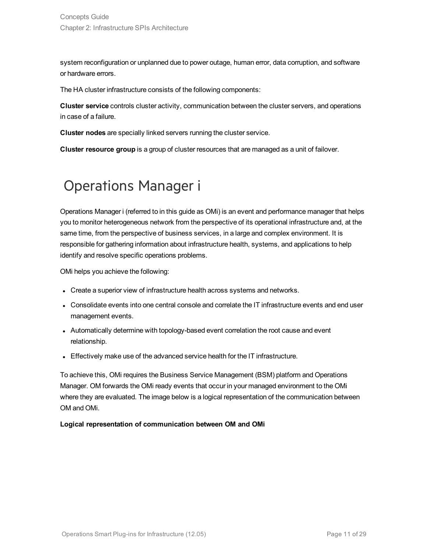system reconfiguration or unplanned due to power outage, human error, data corruption, and software or hardware errors.

The HA cluster infrastructure consists of the following components:

**Cluster service** controls cluster activity, communication between the cluster servers, and operations in case of a failure.

**Cluster nodes** are specially linked servers running the cluster service.

<span id="page-10-0"></span>**Cluster resource group** is a group of cluster resources that are managed as a unit of failover.

## Operations Manager i

Operations Manager i (referred to in this guide as OMi) is an event and performance manager that helps you to monitor heterogeneous network from the perspective of its operational infrastructure and, at the same time, from the perspective of business services, in a large and complex environment. It is responsible for gathering information about infrastructure health, systems, and applications to help identify and resolve specific operations problems.

OMi helps you achieve the following:

- Create a superior view of infrastructure health across systems and networks.
- Consolidate events into one central console and correlate the IT infrastructure events and end user management events.
- Automatically determine with topology-based event correlation the root cause and event relationship.
- Effectively make use of the advanced service health for the IT infrastructure.

To achieve this, OMi requires the Business Service Management (BSM) platform and Operations Manager. OM forwards the OMi ready events that occur in your managed environment to the OMi where they are evaluated. The image below is a logical representation of the communication between OM and OMi.

### **Logical representation of communication between OM and OMi**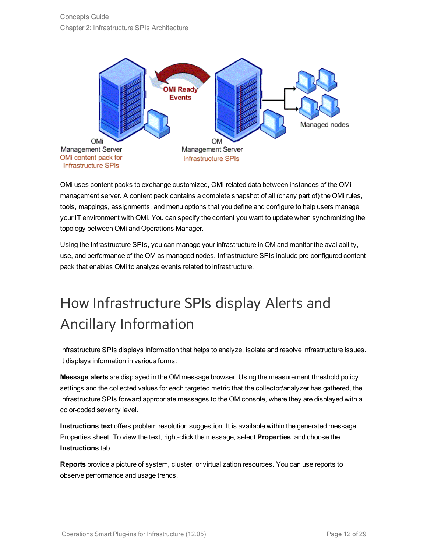

OMi uses content packs to exchange customized, OMi-related data between instances of the OMi management server. A content pack contains a complete snapshot of all (or any part of) the OMi rules, tools, mappings, assignments, and menu options that you define and configure to help users manage your IT environment with OMi. You can specify the content you want to update when synchronizing the topology between OMi and Operations Manager.

Using the Infrastructure SPIs, you can manage your infrastructure in OM and monitor the availability, use, and performance of the OM as managed nodes. Infrastructure SPIs include pre-configured content pack that enables OMi to analyze events related to infrastructure.

# <span id="page-11-0"></span>How Infrastructure SPIs display Alerts and Ancillary Information

Infrastructure SPIs displays information that helps to analyze, isolate and resolve infrastructure issues. It displays information in various forms:

**Message alerts** are displayed in the OM message browser. Using the measurement threshold policy settings and the collected values for each targeted metric that the collector/analyzer has gathered, the Infrastructure SPIs forward appropriate messages to the OM console, where they are displayed with a color-coded severity level.

**Instructions text** offers problem resolution suggestion. It is available within the generated message Properties sheet. To view the text, right-click the message, select **Properties**, and choose the **Instructions** tab.

**Reports** provide a picture of system, cluster, or virtualization resources. You can use reports to observe performance and usage trends.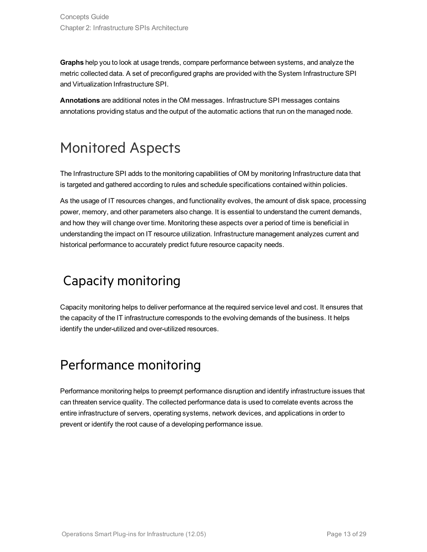**Graphs** help you to look at usage trends, compare performance between systems, and analyze the metric collected data. A set of preconfigured graphs are provided with the System Infrastructure SPI and Virtualization Infrastructure SPI.

**Annotations** are additional notes in the OM messages. Infrastructure SPI messages contains annotations providing status and the output of the automatic actions that run on the managed node.

## <span id="page-12-0"></span>Monitored Aspects

The Infrastructure SPI adds to the monitoring capabilities of OM by monitoring Infrastructure data that is targeted and gathered according to rules and schedule specifications contained within policies.

As the usage of IT resources changes, and functionality evolves, the amount of disk space, processing power, memory, and other parameters also change. It is essential to understand the current demands, and how they will change over time. Monitoring these aspects over a period of time is beneficial in understanding the impact on IT resource utilization. Infrastructure management analyzes current and historical performance to accurately predict future resource capacity needs.

## <span id="page-12-1"></span>Capacity monitoring

Capacity monitoring helps to deliver performance at the required service level and cost. It ensures that the capacity of the IT infrastructure corresponds to the evolving demands of the business. It helps identify the under-utilized and over-utilized resources.

## <span id="page-12-2"></span>Performance monitoring

Performance monitoring helps to preempt performance disruption and identify infrastructure issues that can threaten service quality. The collected performance data is used to correlate events across the entire infrastructure of servers, operating systems, network devices, and applications in order to prevent or identify the root cause of a developing performance issue.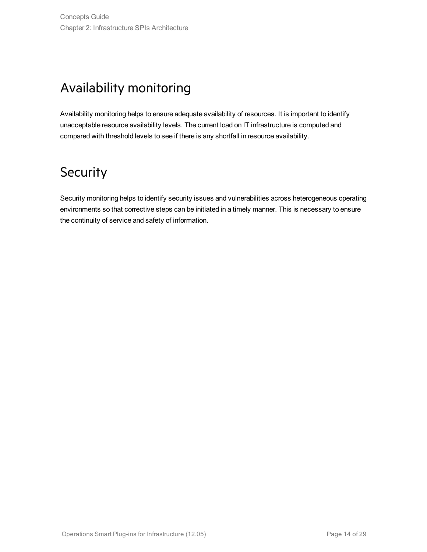## <span id="page-13-0"></span>Availability monitoring

Availability monitoring helps to ensure adequate availability of resources. It is important to identify unacceptable resource availability levels. The current load on IT infrastructure is computed and compared with threshold levels to see if there is any shortfall in resource availability.

## <span id="page-13-1"></span>**Security**

Security monitoring helps to identify security issues and vulnerabilities across heterogeneous operating environments so that corrective steps can be initiated in a timely manner. This is necessary to ensure the continuity of service and safety of information.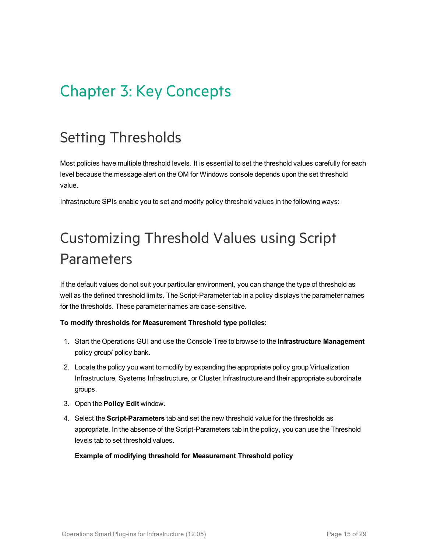# <span id="page-14-0"></span>Chapter 3: Key Concepts

## <span id="page-14-1"></span>Setting Thresholds

Most policies have multiple threshold levels. It is essential to set the threshold values carefully for each level because the message alert on the OM for Windows console depends upon the set threshold value.

<span id="page-14-2"></span>Infrastructure SPIs enable you to set and modify policy threshold values in the following ways:

# Customizing Threshold Values using Script Parameters

If the default values do not suit your particular environment, you can change the type of threshold as well as the defined threshold limits. The Script-Parameter tab in a policy displays the parameter names for the thresholds. These parameter names are case-sensitive.

### **To modify thresholds for Measurement Threshold type policies:**

- 1. Start the Operations GUI and use the Console Tree to browse to the **Infrastructure Management** policy group/ policy bank.
- 2. Locate the policy you want to modify by expanding the appropriate policy group Virtualization Infrastructure, Systems Infrastructure, or Cluster Infrastructure and their appropriate subordinate groups.
- 3. Open the **Policy Edit** window.
- 4. Select the **Script-Parameters** tab and set the new threshold value for the thresholds as appropriate. In the absence of the Script-Parameters tab in the policy, you can use the Threshold levels tab to set threshold values.

### **Example of modifying threshold for Measurement Threshold policy**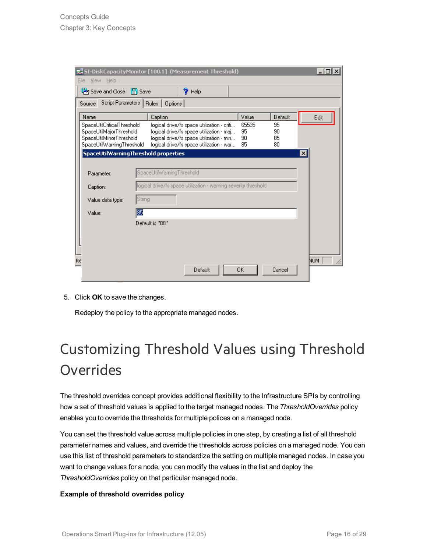|      |                                                       | SI-DiskCapacityMonitor [100.1] (Measurement Threshold)                                                            | $\Box$ o $\Box$ |  |
|------|-------------------------------------------------------|-------------------------------------------------------------------------------------------------------------------|-----------------|--|
| File | Help -<br>View.                                       |                                                                                                                   |                 |  |
|      | Save and Close [8] Save                               | 9.<br>Help                                                                                                        |                 |  |
|      | Source                                                | Script-Parameters   Rules   Options                                                                               |                 |  |
|      | Name                                                  | Value<br>Default<br>Caption                                                                                       | Edit            |  |
|      | SpaceUtilCriticalThreshold<br>SpaceUtilMajorThreshold | 65535<br>95<br>logical drive/fs space utilization - criti<br>95<br>logical drive/fs space utilization - maj<br>90 |                 |  |
|      | SpaceUtilMinorThreshold                               | 90<br>85<br>logical drive/fs space utilization - min                                                              |                 |  |
|      | SpaceUtilWarningThreshold                             | 85<br>80<br>logical drive/fs space utilization - war                                                              |                 |  |
|      |                                                       | SpaceUtilWarningThreshold properties                                                                              | $\mathbf{x}$    |  |
|      |                                                       |                                                                                                                   |                 |  |
|      | SpaceUtilWarningThreshold<br>Parameter:               |                                                                                                                   |                 |  |
|      | Caption:                                              |                                                                                                                   |                 |  |
|      | Value data type:                                      |                                                                                                                   |                 |  |
|      | Value:                                                |                                                                                                                   |                 |  |
|      | Default is "80"                                       |                                                                                                                   |                 |  |
|      |                                                       |                                                                                                                   |                 |  |
|      |                                                       |                                                                                                                   |                 |  |
|      |                                                       |                                                                                                                   |                 |  |
| Re   |                                                       |                                                                                                                   | NUM.            |  |
|      |                                                       | Default<br>0K<br>Cancel                                                                                           |                 |  |

5. Click **OK** to save the changes.

Redeploy the policy to the appropriate managed nodes.

# <span id="page-15-0"></span>Customizing Threshold Values using Threshold **Overrides**

The threshold overrides concept provides additional flexibility to the Infrastructure SPIs by controlling how a set of threshold values is applied to the target managed nodes. The *ThresholdOverrides* policy enables you to override the thresholds for multiple polices on a managed node.

You can set the threshold value across multiple policies in one step, by creating a list of all threshold parameter names and values, and override the thresholds across policies on a managed node. You can use this list of threshold parameters to standardize the setting on multiple managed nodes. In case you want to change values for a node, you can modify the values in the list and deploy the *ThresholdOverrides* policy on that particular managed node.

#### **Example of threshold overrides policy**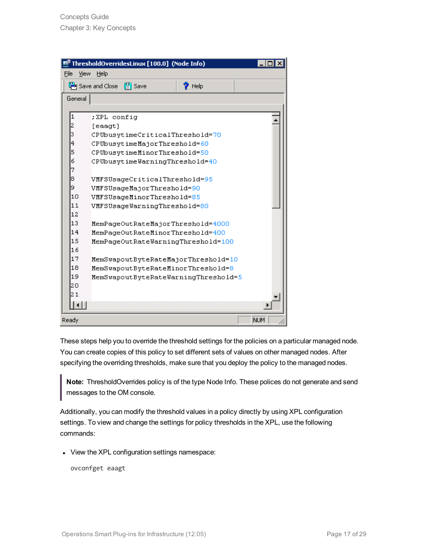|                              | ThresholdOverridesLinux [100.0] (Node Info) |     |  |  |
|------------------------------|---------------------------------------------|-----|--|--|
| File<br>View<br>Help -       |                                             |     |  |  |
|                              | Save and Close [4] Save<br>$\gamma$ Help    |     |  |  |
| General                      |                                             |     |  |  |
|                              |                                             |     |  |  |
| 1                            | ; XPL config                                |     |  |  |
| 2                            | [eaagt]                                     |     |  |  |
| 3                            | CPUbusytimeCriticalThreshold=70             |     |  |  |
| 4                            | CPUbusytimeMajorThreshold=60                |     |  |  |
| 5                            | CPUbusytimeMinorThreshold=50                |     |  |  |
| 6                            | CPUbusytimeWarningThreshold=40              |     |  |  |
|                              | 7                                           |     |  |  |
| 8                            | VMFSUsageCriticalThreshold=95               |     |  |  |
| 9                            | VMFSUsageMajorThreshold=90                  |     |  |  |
| 10                           | VMFSUsageMinorThreshold=85                  |     |  |  |
| 11                           | VMFSUsageWarningThreshold=80                |     |  |  |
|                              | 12                                          |     |  |  |
|                              | 13<br>MemPageOutRateMajorThreshold=4000     |     |  |  |
|                              | 14<br>MemPageOutRateMinorThreshold=400      |     |  |  |
| 16                           | 15<br>MemPageOutRateWarningThreshold=100    |     |  |  |
| 17                           |                                             |     |  |  |
| 18                           | MemSwapoutByteRateMajorThreshold=10         |     |  |  |
| 19                           | MemSwapoutByteRateMinorThreshold=8          |     |  |  |
| 20                           | MemSwapoutByteRateWarningThreshold=5        |     |  |  |
| 21                           |                                             |     |  |  |
|                              |                                             |     |  |  |
| $\lceil \cdot \rceil \rceil$ |                                             |     |  |  |
| Ready                        |                                             | NUM |  |  |

These steps help you to override the threshold settings for the policies on a particular managed node. You can create copies of this policy to set different sets of values on other managed nodes. After specifying the overriding thresholds, make sure that you deploy the policy to the managed nodes.

**Note:** ThresholdOverrides policy is of the type Node Info. These polices do not generate and send messages to the OM console.

Additionally, you can modify the threshold values in a policy directly by using XPL configuration settings. To view and change the settings for policy thresholds in the XPL, use the following commands:

• View the XPL configuration settings namespace:

ovconfget eaagt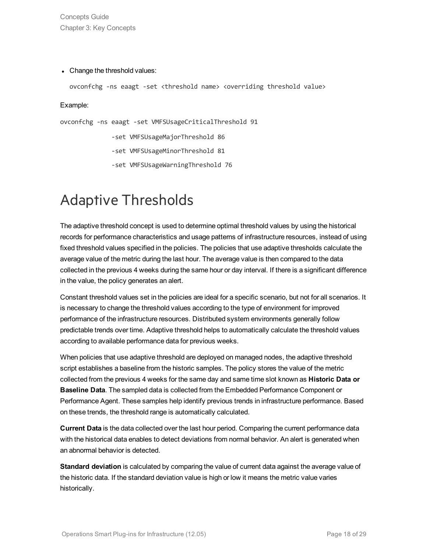Concepts Guide Chapter 3: Key Concepts

#### • Change the threshold values:

ovconfchg -ns eaagt -set <threshold name> <overriding threshold value>

Example:

ovconfchg -ns eaagt -set VMFSUsageCriticalThreshold 91

-set VMFSUsageMajorThreshold 86

-set VMFSUsageMinorThreshold 81

-set VMFSUsageWarningThreshold 76

## <span id="page-17-0"></span>Adaptive Thresholds

The adaptive threshold concept is used to determine optimal threshold values by using the historical records for performance characteristics and usage patterns of infrastructure resources, instead of using fixed threshold values specified in the policies. The policies that use adaptive thresholds calculate the average value of the metric during the last hour. The average value is then compared to the data collected in the previous 4 weeks during the same hour or day interval. If there is a significant difference in the value, the policy generates an alert.

Constant threshold values set in the policies are ideal for a specific scenario, but not for all scenarios. It is necessary to change the threshold values according to the type of environment for improved performance of the infrastructure resources. Distributed system environments generally follow predictable trends over time. Adaptive threshold helps to automatically calculate the threshold values according to available performance data for previous weeks.

When policies that use adaptive threshold are deployed on managed nodes, the adaptive threshold script establishes a baseline from the historic samples. The policy stores the value of the metric collected from the previous 4 weeks for the same day and same time slot known as **Historic Data or Baseline Data**. The sampled data is collected from the Embedded Performance Component or Performance Agent. These samples help identify previous trends in infrastructure performance. Based on these trends, the threshold range is automatically calculated.

**Current Data** is the data collected over the last hour period. Comparing the current performance data with the historical data enables to detect deviations from normal behavior. An alert is generated when an abnormal behavior is detected.

**Standard deviation** is calculated by comparing the value of current data against the average value of the historic data. If the standard deviation value is high or low it means the metric value varies historically.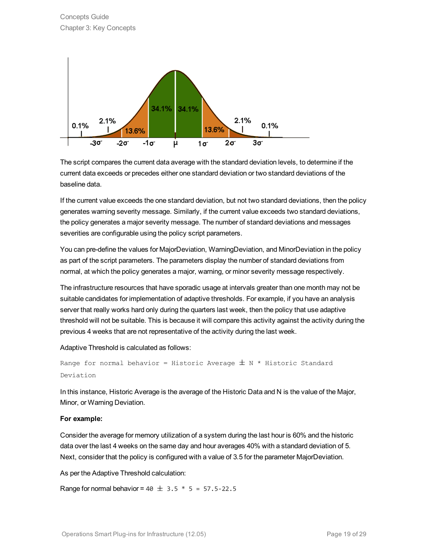

The script compares the current data average with the standard deviation levels, to determine if the current data exceeds or precedes either one standard deviation or two standard deviations of the baseline data.

If the current value exceeds the one standard deviation, but not two standard deviations, then the policy generates warning severity message. Similarly, if the current value exceeds two standard deviations, the policy generates a major severity message. The number of standard deviations and messages severities are configurable using the policy script parameters.

You can pre-define the values for MajorDeviation, WarningDeviation, and MinorDeviation in the policy as part of the script parameters. The parameters display the number of standard deviations from normal, at which the policy generates a major, warning, or minor severity message respectively.

The infrastructure resources that have sporadic usage at intervals greater than one month may not be suitable candidates for implementation of adaptive thresholds. For example, if you have an analysis server that really works hard only during the quarters last week, then the policy that use adaptive threshold will not be suitable. This is because it will compare this activity against the activity during the previous 4 weeks that are not representative of the activity during the last week.

Adaptive Threshold is calculated as follows:

```
Range for normal behavior = Historic Average \pm N * Historic Standard
Deviation
```
In this instance, Historic Average is the average of the Historic Data and N is the value of the Major, Minor, or Warning Deviation.

### **For example:**

Consider the average for memory utilization of a system during the last hour is 60% and the historic data over the last 4 weeks on the same day and hour averages 40% with a standard deviation of 5. Next, consider that the policy is configured with a value of 3.5 for the parameter MajorDeviation.

As per the Adaptive Threshold calculation:

Range for normal behavior =  $40 \pm 3.5 * 5 = 57.5 - 22.5$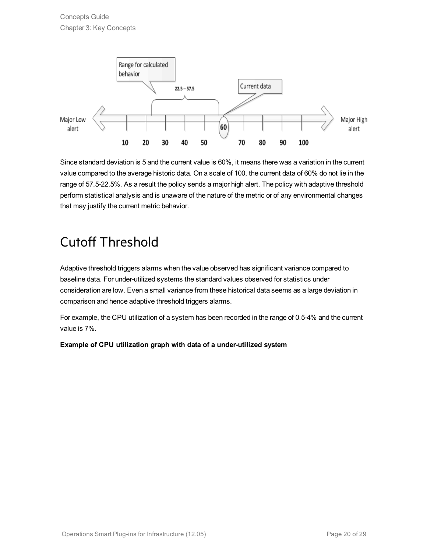

Since standard deviation is 5 and the current value is 60%, it means there was a variation in the current value compared to the average historic data. On a scale of 100, the current data of 60% do not lie in the range of 57.5-22.5%. As a result the policy sends a major high alert. The policy with adaptive threshold perform statistical analysis and is unaware of the nature of the metric or of any environmental changes that may justify the current metric behavior.

## <span id="page-19-0"></span>Cutoff Threshold

Adaptive threshold triggers alarms when the value observed has significant variance compared to baseline data. For under-utilized systems the standard values observed for statistics under consideration are low. Even a small variance from these historical data seems as a large deviation in comparison and hence adaptive threshold triggers alarms.

For example, the CPU utilization of a system has been recorded in the range of 0.5-4% and the current value is 7%.

### **Example of CPU utilization graph with data of a under-utilized system**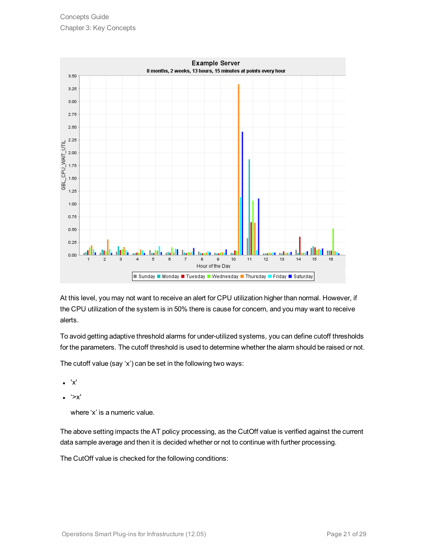

At this level, you may not want to receive an alert for CPU utilization higher than normal. However, if the CPU utilization of the system is in 50% there is cause for concern, and you may want to receive alerts.

To avoid getting adaptive threshold alarms for under-utilized systems, you can define cutoff thresholds for the parameters. The cutoff threshold is used to determine whether the alarm should be raised or not.

The cutoff value (say 'x') can be set in the following two ways:

- <sup>l</sup> 'x'
- <sup>l</sup> '>x'

where 'x' is a numeric value.

The above setting impacts the AT policy processing, as the CutOff value is verified against the current data sample average and then it is decided whether or not to continue with further processing.

The CutOff value is checked for the following conditions: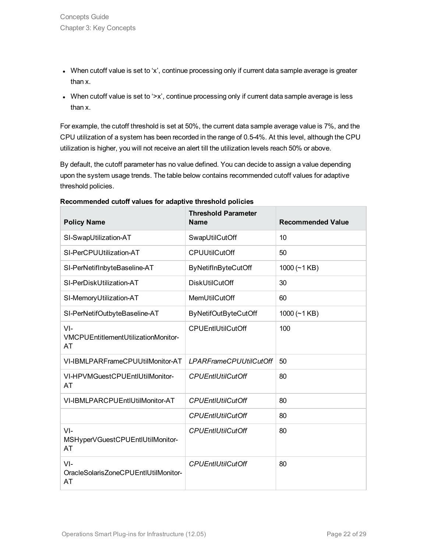- When cutoff value is set to 'x', continue processing only if current data sample average is greater than x.
- When cutoff value is set to '>x', continue processing only if current data sample average is less than x.

For example, the cutoff threshold is set at 50%, the current data sample average value is 7%, and the CPU utilization of a system has been recorded in the range of 0.5-4%. At this level, although the CPU utilization is higher, you will not receive an alert till the utilization levels reach 50% or above.

By default, the cutoff parameter has no value defined. You can decide to assign a value depending upon the system usage trends. The table below contains recommended cutoff values for adaptive threshold policies.

| <b>Policy Name</b>                                   | <b>Threshold Parameter</b><br><b>Name</b> | <b>Recommended Value</b> |
|------------------------------------------------------|-------------------------------------------|--------------------------|
| SI-SwapUtilization-AT                                | SwapUtilCutOff                            | 10                       |
| SI-PerCPUUtilization-AT                              | <b>CPUUtilCutOff</b>                      | 50                       |
| SI-PerNetifInbyteBaseline-AT                         | <b>ByNetifInByteCutOff</b>                | $1000 (-1 KB)$           |
| SI-PerDiskUtilization-AT                             | <b>DiskUtilCutOff</b>                     | 30                       |
| SI-MemoryUtilization-AT                              | MemUtilCutOff                             | 60                       |
| SI-PerNetifOutbyteBaseline-AT                        | <b>ByNetifOutByteCutOff</b>               | 1000 $(-1$ KB)           |
| $VI -$<br>VMCPUEntitlementUtilizationMonitor-<br>AT  | <b>CPUEntIUtilCutOff</b>                  | 100                      |
| VI-IBMLPARFrameCPUUtilMonitor-AT                     | <b>LPARFrameCPUUtilCutOff</b>             | 50                       |
| VI-HPVMGuestCPUEntIUtilMonitor-<br>AT                | <b>CPUEntIUtilCutOff</b>                  | 80                       |
| VI-IBMLPARCPUEntIUtilMonitor-AT                      | <b>CPUEntIUtilCutOff</b>                  | 80                       |
|                                                      | <b>CPUEntIUtilCutOff</b>                  | 80                       |
| $VI -$<br>MSHyperVGuestCPUEntIUtilMonitor-<br>AT     | <b>CPUEntIUtilCutOff</b>                  | 80                       |
| $VI -$<br>OracleSolarisZoneCPUEntlUtilMonitor-<br>AT | <b>CPUEntIUtilCutOff</b>                  | 80                       |

#### **Recommended cutoff values for adaptive threshold policies**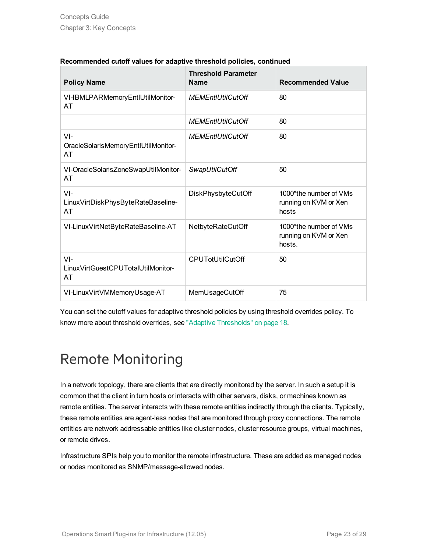| <b>Policy Name</b>                                      | <b>Threshold Parameter</b><br><b>Name</b> | <b>Recommended Value</b>                                  |
|---------------------------------------------------------|-------------------------------------------|-----------------------------------------------------------|
| VI-IBMLPARMemoryEntIUtilMonitor-<br>AT                  | <b>MEMEntIUtilCutOff</b>                  | 80                                                        |
|                                                         | <b>MEMEntIUtilCutOff</b>                  | 80                                                        |
| $VI -$<br>OracleSolarisMemoryEntIUtilMonitor-<br>AT     | <b>MEMEntIUtilCutOff</b>                  | 80                                                        |
| VI-OracleSolarisZoneSwapUtilMonitor-<br>AT              | SwapUtilCutOff                            | 50                                                        |
| $VI -$<br>LinuxVirtDiskPhysByteRateBaseline-<br>AT      | DiskPhysbyteCutOff                        | 1000*the number of VMs<br>running on KVM or Xen<br>hosts  |
| VI-LinuxVirtNetByteRateBaseline-AT                      | NetbyteRateCutOff                         | 1000*the number of VMs<br>running on KVM or Xen<br>hosts. |
| $VI -$<br>Linux VirtGuest CPU Total Util Monitor-<br>AT | <b>CPUTotUtilCutOff</b>                   | 50                                                        |
| VI-LinuxVirtVMMemoryUsage-AT                            | MemUsageCutOff                            | 75                                                        |

### **Recommended cutoff values for adaptive threshold policies, continued**

You can set the cutoff values for adaptive threshold policies by using threshold overrides policy. To know more about threshold overrides, see "Adaptive [Thresholds"](#page-17-0) on page 18.

## <span id="page-22-0"></span>Remote Monitoring

In a network topology, there are clients that are directly monitored by the server. In such a setup it is common that the client in turn hosts or interacts with other servers, disks, or machines known as remote entities. The server interacts with these remote entities indirectly through the clients. Typically, these remote entities are agent-less nodes that are monitored through proxy connections. The remote entities are network addressable entities like cluster nodes, cluster resource groups, virtual machines, or remote drives.

Infrastructure SPIs help you to monitor the remote infrastructure. These are added as managed nodes or nodes monitored as SNMP/message-allowed nodes.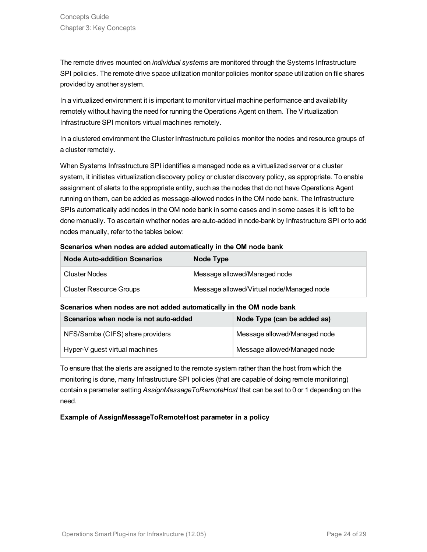The remote drives mounted on *individual systems* are monitored through the Systems Infrastructure SPI policies. The remote drive space utilization monitor policies monitor space utilization on file shares provided by another system.

In a virtualized environment it is important to monitor virtual machine performance and availability remotely without having the need for running the Operations Agent on them. The Virtualization Infrastructure SPI monitors virtual machines remotely.

In a clustered environment the Cluster Infrastructure policies monitor the nodes and resource groups of a cluster remotely.

When Systems Infrastructure SPI identifies a managed node as a virtualized server or a cluster system, it initiates virtualization discovery policy or cluster discovery policy, as appropriate. To enable assignment of alerts to the appropriate entity, such as the nodes that do not have Operations Agent running on them, can be added as message-allowed nodes in the OM node bank. The Infrastructure SPIs automatically add nodes in the OM node bank in some cases and in some cases it is left to be done manually. To ascertain whether nodes are auto-added in node-bank by Infrastructure SPI or to add nodes manually, refer to the tables below:

### **Scenarios when nodes are added automatically in the OM node bank**

| <b>Node Auto-addition Scenarios</b> | Node Type                                 |
|-------------------------------------|-------------------------------------------|
| Cluster Nodes                       | Message allowed/Managed node              |
| <b>Cluster Resource Groups</b>      | Message allowed/Virtual node/Managed node |

### **Scenarios when nodes are not added automatically in the OM node bank**

| Scenarios when node is not auto-added | Node Type (can be added as)  |  |
|---------------------------------------|------------------------------|--|
| NFS/Samba (CIFS) share providers      | Message allowed/Managed node |  |
| Hyper-V guest virtual machines        | Message allowed/Managed node |  |

To ensure that the alerts are assigned to the remote system rather than the host from which the monitoring is done, many Infrastructure SPI policies (that are capable of doing remote monitoring) contain a parameter setting *AssignMessageToRemoteHost* that can be set to 0 or 1 depending on the need.

### **Example of AssignMessageToRemoteHost parameter in a policy**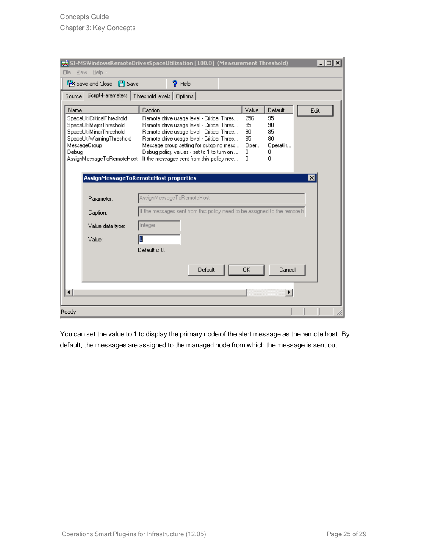| $\Box$<br>え SI-MSWindowsRemoteDrivesSpaceUtilization [100.0] (Measurement Threshold)<br>Help -<br>File<br>View.                                                                        |                                                                                                                                                                                                                                                                                     |                                             |                                                  |      |
|----------------------------------------------------------------------------------------------------------------------------------------------------------------------------------------|-------------------------------------------------------------------------------------------------------------------------------------------------------------------------------------------------------------------------------------------------------------------------------------|---------------------------------------------|--------------------------------------------------|------|
| <sup>联</sup> Save and Close 日 Save                                                                                                                                                     | $\gamma$ Help                                                                                                                                                                                                                                                                       |                                             |                                                  |      |
| <b>Source</b>                                                                                                                                                                          | Script-Parameters   Threshold levels   Options                                                                                                                                                                                                                                      |                                             |                                                  |      |
| Name<br>SpaceUtilCriticalThreshold<br>SpaceUtilMajorThreshold<br>SpaceUtilMinorThreshold<br>SpaceUtilWarningThreshold<br>MessageGroup<br>Debug                                         | Caption<br>Remote drive usage level - Critical Thres<br>Remote drive usage level - Critical Thres<br>Remote drive usage level - Critical Thres<br>Remote drive usage level - Critical Thres<br>Message group setting for outgoing mess<br>Debug policy values - set to 1 to turn on | Value<br>256<br>95<br>90<br>85<br>Oper<br>0 | Default<br>95<br>90<br>85<br>80<br>Operatin<br>0 | Edit |
| AssignMessageToRemoteHost<br>0<br>n<br>If the messages sent from this policy nee<br>AssignMessageToRemoteHost properties<br>$\vert x \vert$<br>AssignMessageToRemoteHost<br>Parameter: |                                                                                                                                                                                                                                                                                     |                                             |                                                  |      |
| Caption:                                                                                                                                                                               | If the messages sent from this policy need to be assigned to the remote h                                                                                                                                                                                                           |                                             |                                                  |      |
| Value data type:                                                                                                                                                                       | Integer                                                                                                                                                                                                                                                                             |                                             |                                                  |      |
| Value:                                                                                                                                                                                 | О<br>Default is 0.                                                                                                                                                                                                                                                                  |                                             |                                                  |      |
|                                                                                                                                                                                        | Default                                                                                                                                                                                                                                                                             | OK.                                         | Cancel                                           |      |
| $\left  \cdot \right $                                                                                                                                                                 |                                                                                                                                                                                                                                                                                     |                                             |                                                  |      |
| Ready                                                                                                                                                                                  |                                                                                                                                                                                                                                                                                     |                                             |                                                  |      |

You can set the value to 1 to display the primary node of the alert message as the remote host. By default, the messages are assigned to the managed node from which the message is sent out.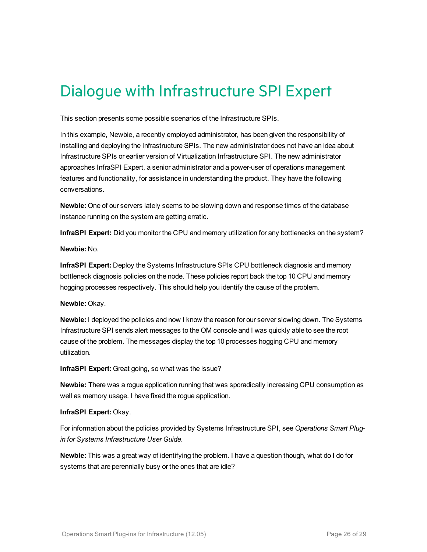## <span id="page-25-0"></span>Dialogue with Infrastructure SPI Expert

This section presents some possible scenarios of the Infrastructure SPIs.

In this example, Newbie, a recently employed administrator, has been given the responsibility of installing and deploying the Infrastructure SPIs. The new administrator does not have an idea about Infrastructure SPIs or earlier version of Virtualization Infrastructure SPI. The new administrator approaches InfraSPI Expert, a senior administrator and a power-user of operations management features and functionality, for assistance in understanding the product. They have the following conversations.

**Newbie:** One of our servers lately seems to be slowing down and response times of the database instance running on the system are getting erratic.

**InfraSPI Expert:** Did you monitor the CPU and memory utilization for any bottlenecks on the system?

#### **Newbie:** No.

**InfraSPI Expert:** Deploy the Systems Infrastructure SPIs CPU bottleneck diagnosis and memory bottleneck diagnosis policies on the node. These policies report back the top 10 CPU and memory hogging processes respectively. This should help you identify the cause of the problem.

### **Newbie:** Okay.

**Newbie:** I deployed the policies and now I know the reason for our server slowing down. The Systems Infrastructure SPI sends alert messages to the OM console and I was quickly able to see the root cause of the problem. The messages display the top 10 processes hogging CPU and memory utilization.

**InfraSPI Expert:** Great going, so what was the issue?

**Newbie:** There was a rogue application running that was sporadically increasing CPU consumption as well as memory usage. I have fixed the rogue application.

### **InfraSPI Expert:** Okay.

For information about the policies provided by Systems Infrastructure SPI, see *Operations Smart Plugin for Systems Infrastructure User Guide*.

**Newbie:** This was a great way of identifying the problem. I have a question though, what do I do for systems that are perennially busy or the ones that are idle?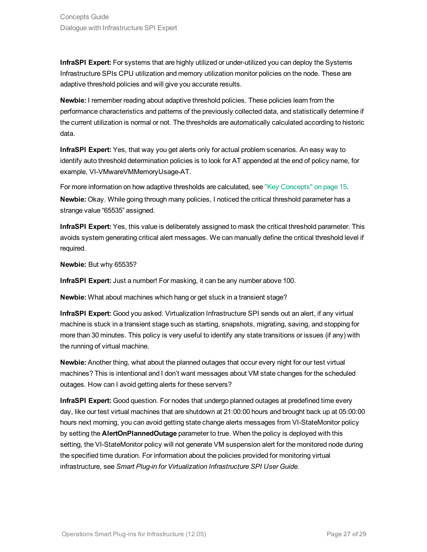**InfraSPI Expert:** For systems that are highly utilized or under-utilized you can deploy the Systems Infrastructure SPIs CPU utilization and memory utilization monitor policies on the node. These are adaptive threshold policies and will give you accurate results.

**Newbie:** I remember reading about adaptive threshold policies. These policies learn from the performance characteristics and patterns of the previously collected data, and statistically determine if the current utilization is normal or not. The thresholds are automatically calculated according to historic data.

**InfraSPI Expert:** Yes, that way you get alerts only for actual problem scenarios. An easy way to identify auto threshold determination policies is to look for AT appended at the end of policy name, for example, VI-VMwareVMMemoryUsage-AT.

For more information on how adaptive thresholds are calculated, see "Key [Concepts"](#page-14-0) on page 15. **Newbie:** Okay. While going through many policies, I noticed the critical threshold parameter has a strange value "65535" assigned.

**InfraSPI Expert:** Yes, this value is deliberately assigned to mask the critical threshold parameter. This avoids system generating critical alert messages. We can manually define the critical threshold level if required.

**Newbie:** But why 65535?

**InfraSPI Expert:** Just a number! For masking, it can be any number above 100.

**Newbie:** What about machines which hang or get stuck in a transient stage?

**InfraSPI Expert:** Good you asked. Virtualization Infrastructure SPI sends out an alert, if any virtual machine is stuck in a transient stage such as starting, snapshots, migrating, saving, and stopping for more than 30 minutes. This policy is very useful to identify any state transitions or issues (if any) with the running of virtual machine.

**Newbie:** Another thing, what about the planned outages that occur every night for our test virtual machines? This is intentional and I don't want messages about VM state changes for the scheduled outages. How can I avoid getting alerts for these servers?

**InfraSPI Expert:** Good question. For nodes that undergo planned outages at predefined time every day, like our test virtual machines that are shutdown at 21:00:00 hours and brought back up at 05:00:00 hours next morning, you can avoid getting state change alerts messages from VI-StateMonitor policy by setting the **AlertOnPlannedOutage** parameter to true. When the policy is deployed with this setting, the VI-StateMonitor policy will not generate VM suspension alert for the monitored node during the specified time duration. For information about the policies provided for monitoring virtual infrastructure, see *Smart Plug-in for Virtualization Infrastructure SPI User Guide.*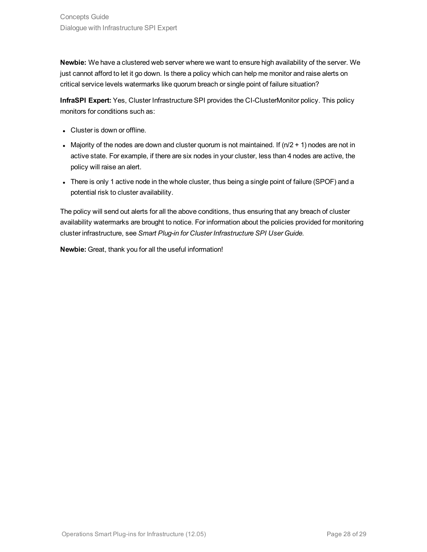**Newbie:** We have a clustered web server where we want to ensure high availability of the server. We just cannot afford to let it go down. Is there a policy which can help me monitor and raise alerts on critical service levels watermarks like quorum breach or single point of failure situation?

**InfraSPI Expert:** Yes, Cluster Infrastructure SPI provides the CI-ClusterMonitor policy. This policy monitors for conditions such as:

- Cluster is down or offline.
- Majority of the nodes are down and cluster quorum is not maintained. If  $(n/2 + 1)$  nodes are not in active state. For example, if there are six nodes in your cluster, less than 4 nodes are active, the policy will raise an alert.
- There is only 1 active node in the whole cluster, thus being a single point of failure (SPOF) and a potential risk to cluster availability.

The policy will send out alerts for all the above conditions, thus ensuring that any breach of cluster availability watermarks are brought to notice. For information about the policies provided for monitoring cluster infrastructure, see *Smart Plug-in for Cluster Infrastructure SPI User Guide.*

**Newbie:** Great, thank you for all the useful information!